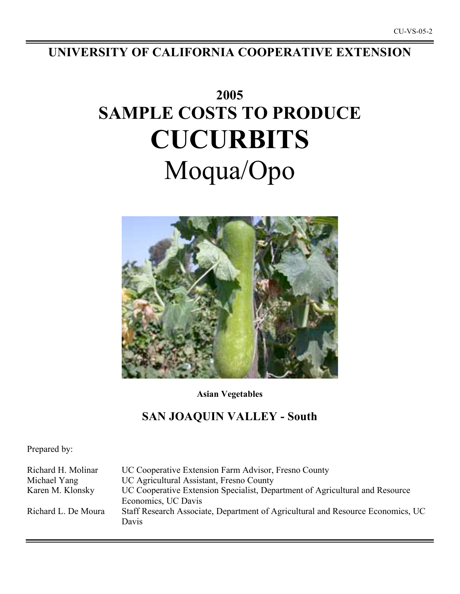**UNIVERSITY OF CALIFORNIA COOPERATIVE EXTENSION**

# **2005 SAMPLE COSTS TO PRODUCE CUCURBITS** Moqua/Opo



**Asian Vegetables**

# **SAN JOAQUIN VALLEY - South**

Prepared by:

| Richard H. Molinar  | UC Cooperative Extension Farm Advisor, Fresno County                            |
|---------------------|---------------------------------------------------------------------------------|
| Michael Yang        | UC Agricultural Assistant, Fresno County                                        |
| Karen M. Klonsky    | UC Cooperative Extension Specialist, Department of Agricultural and Resource    |
|                     | Economics, UC Davis                                                             |
| Richard L. De Moura | Staff Research Associate, Department of Agricultural and Resource Economics, UC |
|                     | Davis                                                                           |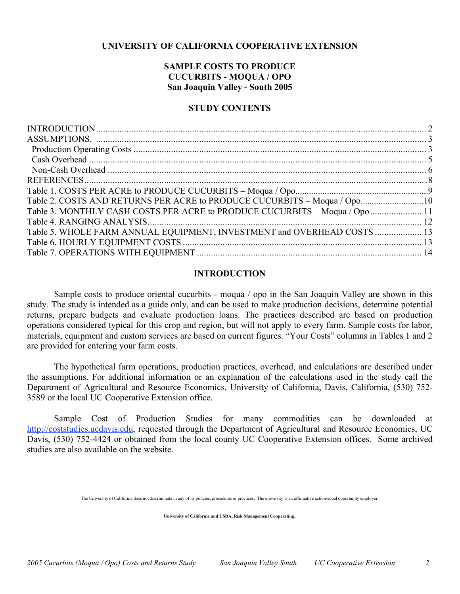# **UNIVERSITY OF CALIFORNIA COOPERATIVE EXTENSION**

# **SAMPLE COSTS TO PRODUCE CUCURBITS - MOQUA / OPO San Joaquin Valley - South 2005**

# **STUDY CONTENTS**

| Table 2. COSTS AND RETURNS PER ACRE to PRODUCE CUCURBITS - Moqua / Opo10    |  |
|-----------------------------------------------------------------------------|--|
| Table 3. MONTHLY CASH COSTS PER ACRE to PRODUCE CUCURBITS – Moqua / Opo  11 |  |
|                                                                             |  |
| Table 5. WHOLE FARM ANNUAL EQUIPMENT, INVESTMENT and OVERHEAD COSTS  13     |  |
|                                                                             |  |
|                                                                             |  |
|                                                                             |  |

# **INTRODUCTION**

Sample costs to produce oriental cucurbits - moqua / opo in the San Joaquin Valley are shown in this study. The study is intended as a guide only, and can be used to make production decisions, determine potential returns, prepare budgets and evaluate production loans. The practices described are based on production operations considered typical for this crop and region, but will not apply to every farm. Sample costs for labor, materials, equipment and custom services are based on current figures. "Your Costs" columns in Tables 1 and 2 are provided for entering your farm costs.

The hypothetical farm operations, production practices, overhead, and calculations are described under the assumptions. For additional information or an explanation of the calculations used in the study call the Department of Agricultural and Resource Economics, University of California, Davis, California, (530) 752- 3589 or the local UC Cooperative Extension office.

Sample Cost of Production Studies for many commodities can be downloaded at http://coststudies.ucdavis.edu, requested through the Department of Agricultural and Resource Economics, UC Davis, (530) 752-4424 or obtained from the local county UC Cooperative Extension offices. Some archived studies are also available on the website.

The University of California does not discriminate in any of its policies, procedures or practices. The university is an affirmative action/equal opportunity employer.

**University of California and USDA, Risk Management Cooperating.**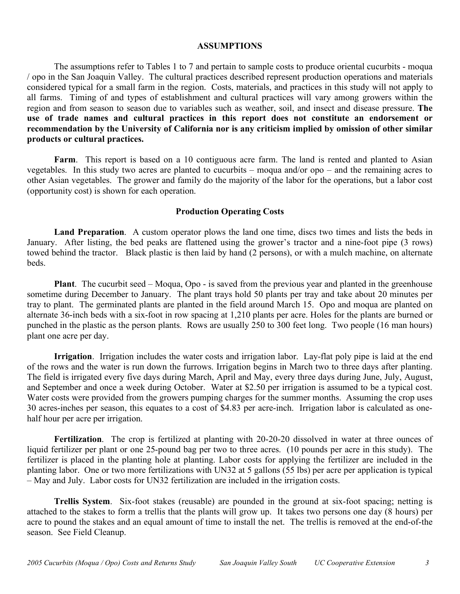# **ASSUMPTIONS**

The assumptions refer to Tables 1 to 7 and pertain to sample costs to produce oriental cucurbits - moqua / opo in the San Joaquin Valley. The cultural practices described represent production operations and materials considered typical for a small farm in the region. Costs, materials, and practices in this study will not apply to all farms. Timing of and types of establishment and cultural practices will vary among growers within the region and from season to season due to variables such as weather, soil, and insect and disease pressure. **The use of trade names and cultural practices in this report does not constitute an endorsement or recommendation by the University of California nor is any criticism implied by omission of other similar products or cultural practices.**

Farm. This report is based on a 10 contiguous acre farm. The land is rented and planted to Asian vegetables. In this study two acres are planted to cucurbits – moqua and/or opo – and the remaining acres to other Asian vegetables. The grower and family do the majority of the labor for the operations, but a labor cost (opportunity cost) is shown for each operation.

# **Production Operating Costs**

**Land Preparation**. A custom operator plows the land one time, discs two times and lists the beds in January. After listing, the bed peaks are flattened using the grower's tractor and a nine-foot pipe (3 rows) towed behind the tractor. Black plastic is then laid by hand (2 persons), or with a mulch machine, on alternate beds.

**Plant**. The cucurbit seed – Moqua, Opo - is saved from the previous year and planted in the greenhouse sometime during December to January. The plant trays hold 50 plants per tray and take about 20 minutes per tray to plant. The germinated plants are planted in the field around March 15. Opo and moqua are planted on alternate 36-inch beds with a six-foot in row spacing at 1,210 plants per acre. Holes for the plants are burned or punched in the plastic as the person plants. Rows are usually 250 to 300 feet long. Two people (16 man hours) plant one acre per day.

**Irrigation**. Irrigation includes the water costs and irrigation labor. Lay-flat poly pipe is laid at the end of the rows and the water is run down the furrows. Irrigation begins in March two to three days after planting. The field is irrigated every five days during March, April and May, every three days during June, July, August, and September and once a week during October. Water at \$2.50 per irrigation is assumed to be a typical cost. Water costs were provided from the growers pumping charges for the summer months. Assuming the crop uses 30 acres-inches per season, this equates to a cost of \$4.83 per acre-inch. Irrigation labor is calculated as onehalf hour per acre per irrigation.

**Fertilization**. The crop is fertilized at planting with 20-20-20 dissolved in water at three ounces of liquid fertilizer per plant or one 25-pound bag per two to three acres. (10 pounds per acre in this study). The fertilizer is placed in the planting hole at planting. Labor costs for applying the fertilizer are included in the planting labor. One or two more fertilizations with UN32 at 5 gallons (55 lbs) per acre per application is typical – May and July. Labor costs for UN32 fertilization are included in the irrigation costs.

**Trellis System**. Six-foot stakes (reusable) are pounded in the ground at six-foot spacing; netting is attached to the stakes to form a trellis that the plants will grow up. It takes two persons one day (8 hours) per acre to pound the stakes and an equal amount of time to install the net. The trellis is removed at the end-of-the season. See Field Cleanup.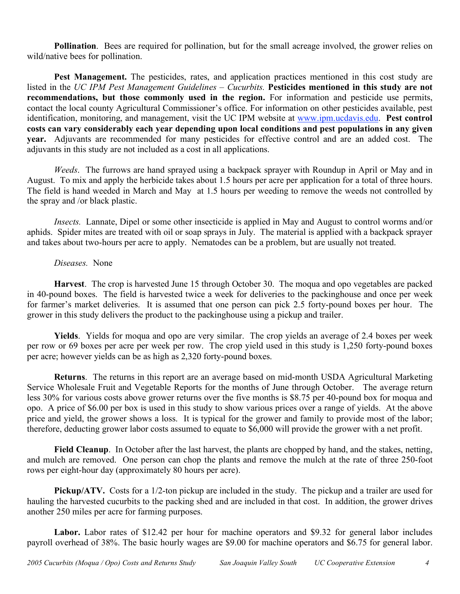**Pollination.** Bees are required for pollination, but for the small acreage involved, the grower relies on wild/native bees for pollination.

**Pest Management.** The pesticides, rates, and application practices mentioned in this cost study are listed in the *UC IPM Pest Management Guidelines – Cucurbits.* **Pesticides mentioned in this study are not recommendations, but those commonly used in the region.** For information and pesticide use permits, contact the local county Agricultural Commissioner's office. For information on other pesticides available, pest identification, monitoring, and management, visit the UC IPM website at www.ipm.ucdavis.edu. **Pest control costs can vary considerably each year depending upon local conditions and pest populations in any given year.** Adjuvants are recommended for many pesticides for effective control and are an added cost. The adjuvants in this study are not included as a cost in all applications.

*Weeds*. The furrows are hand sprayed using a backpack sprayer with Roundup in April or May and in August. To mix and apply the herbicide takes about 1.5 hours per acre per application for a total of three hours. The field is hand weeded in March and May at 1.5 hours per weeding to remove the weeds not controlled by the spray and /or black plastic.

*Insects.* Lannate, Dipel or some other insecticide is applied in May and August to control worms and/or aphids. Spider mites are treated with oil or soap sprays in July. The material is applied with a backpack sprayer and takes about two-hours per acre to apply. Nematodes can be a problem, but are usually not treated.

# *Diseases.* None

**Harvest**. The crop is harvested June 15 through October 30. The moqua and opo vegetables are packed in 40-pound boxes. The field is harvested twice a week for deliveries to the packinghouse and once per week for farmer's market deliveries. It is assumed that one person can pick 2.5 forty-pound boxes per hour. The grower in this study delivers the product to the packinghouse using a pickup and trailer.

**Yields**. Yields for moqua and opo are very similar. The crop yields an average of 2.4 boxes per week per row or 69 boxes per acre per week per row. The crop yield used in this study is 1,250 forty-pound boxes per acre; however yields can be as high as 2,320 forty-pound boxes.

**Returns**. The returns in this report are an average based on mid-month USDA Agricultural Marketing Service Wholesale Fruit and Vegetable Reports for the months of June through October. The average return less 30% for various costs above grower returns over the five months is \$8.75 per 40-pound box for moqua and opo. A price of \$6.00 per box is used in this study to show various prices over a range of yields. At the above price and yield, the grower shows a loss. It is typical for the grower and family to provide most of the labor; therefore, deducting grower labor costs assumed to equate to \$6,000 will provide the grower with a net profit.

**Field Cleanup**. In October after the last harvest, the plants are chopped by hand, and the stakes, netting, and mulch are removed. One person can chop the plants and remove the mulch at the rate of three 250-foot rows per eight-hour day (approximately 80 hours per acre).

**Pickup/ATV.** Costs for a 1/2-ton pickup are included in the study. The pickup and a trailer are used for hauling the harvested cucurbits to the packing shed and are included in that cost. In addition, the grower drives another 250 miles per acre for farming purposes.

Labor. Labor rates of \$12.42 per hour for machine operators and \$9.32 for general labor includes payroll overhead of 38%. The basic hourly wages are \$9.00 for machine operators and \$6.75 for general labor.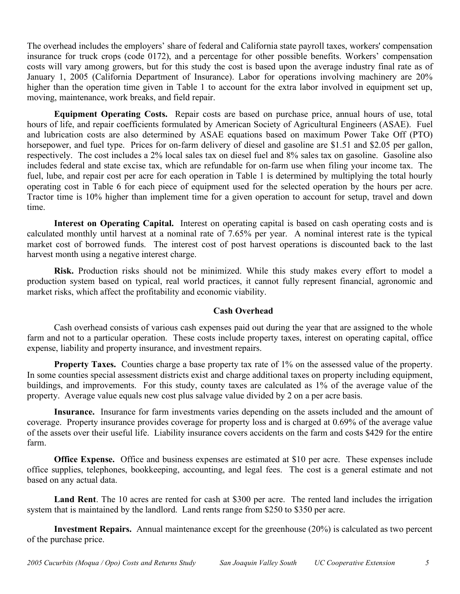The overhead includes the employers' share of federal and California state payroll taxes, workers' compensation insurance for truck crops (code 0172), and a percentage for other possible benefits. Workers' compensation costs will vary among growers, but for this study the cost is based upon the average industry final rate as of January 1, 2005 (California Department of Insurance). Labor for operations involving machinery are 20% higher than the operation time given in Table 1 to account for the extra labor involved in equipment set up, moving, maintenance, work breaks, and field repair.

**Equipment Operating Costs.** Repair costs are based on purchase price, annual hours of use, total hours of life, and repair coefficients formulated by American Society of Agricultural Engineers (ASAE). Fuel and lubrication costs are also determined by ASAE equations based on maximum Power Take Off (PTO) horsepower, and fuel type. Prices for on-farm delivery of diesel and gasoline are \$1.51 and \$2.05 per gallon, respectively. The cost includes a 2% local sales tax on diesel fuel and 8% sales tax on gasoline. Gasoline also includes federal and state excise tax, which are refundable for on-farm use when filing your income tax. The fuel, lube, and repair cost per acre for each operation in Table 1 is determined by multiplying the total hourly operating cost in Table 6 for each piece of equipment used for the selected operation by the hours per acre. Tractor time is 10% higher than implement time for a given operation to account for setup, travel and down time.

**Interest on Operating Capital.** Interest on operating capital is based on cash operating costs and is calculated monthly until harvest at a nominal rate of 7.65% per year. A nominal interest rate is the typical market cost of borrowed funds. The interest cost of post harvest operations is discounted back to the last harvest month using a negative interest charge.

**Risk.** Production risks should not be minimized. While this study makes every effort to model a production system based on typical, real world practices, it cannot fully represent financial, agronomic and market risks, which affect the profitability and economic viability.

# **Cash Overhead**

Cash overhead consists of various cash expenses paid out during the year that are assigned to the whole farm and not to a particular operation. These costs include property taxes, interest on operating capital, office expense, liability and property insurance, and investment repairs.

**Property Taxes.** Counties charge a base property tax rate of 1% on the assessed value of the property. In some counties special assessment districts exist and charge additional taxes on property including equipment, buildings, and improvements. For this study, county taxes are calculated as 1% of the average value of the property. Average value equals new cost plus salvage value divided by 2 on a per acre basis.

**Insurance.** Insurance for farm investments varies depending on the assets included and the amount of coverage. Property insurance provides coverage for property loss and is charged at 0.69% of the average value of the assets over their useful life. Liability insurance covers accidents on the farm and costs \$429 for the entire farm.

**Office Expense.** Office and business expenses are estimated at \$10 per acre. These expenses include office supplies, telephones, bookkeeping, accounting, and legal fees. The cost is a general estimate and not based on any actual data.

**Land Rent**. The 10 acres are rented for cash at \$300 per acre. The rented land includes the irrigation system that is maintained by the landlord. Land rents range from \$250 to \$350 per acre.

**Investment Repairs.** Annual maintenance except for the greenhouse (20%) is calculated as two percent of the purchase price.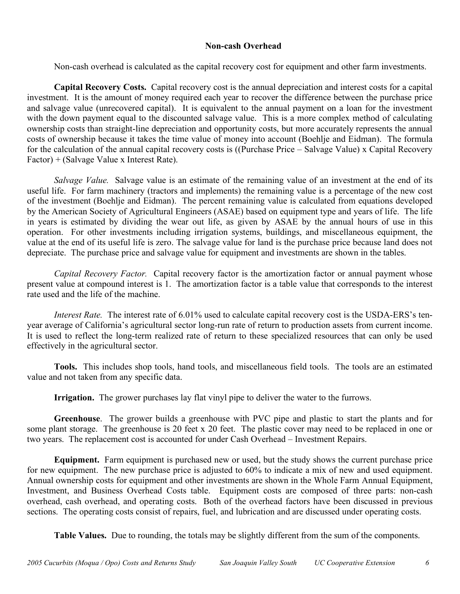# **Non-cash Overhead**

Non-cash overhead is calculated as the capital recovery cost for equipment and other farm investments.

**Capital Recovery Costs.** Capital recovery cost is the annual depreciation and interest costs for a capital investment. It is the amount of money required each year to recover the difference between the purchase price and salvage value (unrecovered capital). It is equivalent to the annual payment on a loan for the investment with the down payment equal to the discounted salvage value. This is a more complex method of calculating ownership costs than straight-line depreciation and opportunity costs, but more accurately represents the annual costs of ownership because it takes the time value of money into account (Boehlje and Eidman). The formula for the calculation of the annual capital recovery costs is ((Purchase Price – Salvage Value) x Capital Recovery Factor) + (Salvage Value x Interest Rate).

*Salvage Value.* Salvage value is an estimate of the remaining value of an investment at the end of its useful life. For farm machinery (tractors and implements) the remaining value is a percentage of the new cost of the investment (Boehlje and Eidman). The percent remaining value is calculated from equations developed by the American Society of Agricultural Engineers (ASAE) based on equipment type and years of life. The life in years is estimated by dividing the wear out life, as given by ASAE by the annual hours of use in this operation. For other investments including irrigation systems, buildings, and miscellaneous equipment, the value at the end of its useful life is zero. The salvage value for land is the purchase price because land does not depreciate. The purchase price and salvage value for equipment and investments are shown in the tables.

*Capital Recovery Factor.* Capital recovery factor is the amortization factor or annual payment whose present value at compound interest is 1. The amortization factor is a table value that corresponds to the interest rate used and the life of the machine.

*Interest Rate.* The interest rate of 6.01% used to calculate capital recovery cost is the USDA-ERS's tenyear average of California's agricultural sector long-run rate of return to production assets from current income. It is used to reflect the long-term realized rate of return to these specialized resources that can only be used effectively in the agricultural sector.

**Tools.** This includes shop tools, hand tools, and miscellaneous field tools. The tools are an estimated value and not taken from any specific data.

**Irrigation.** The grower purchases lay flat vinyl pipe to deliver the water to the furrows.

**Greenhouse**. The grower builds a greenhouse with PVC pipe and plastic to start the plants and for some plant storage. The greenhouse is 20 feet x 20 feet. The plastic cover may need to be replaced in one or two years. The replacement cost is accounted for under Cash Overhead – Investment Repairs.

**Equipment.** Farm equipment is purchased new or used, but the study shows the current purchase price for new equipment. The new purchase price is adjusted to 60% to indicate a mix of new and used equipment. Annual ownership costs for equipment and other investments are shown in the Whole Farm Annual Equipment, Investment, and Business Overhead Costs table. Equipment costs are composed of three parts: non-cash overhead, cash overhead, and operating costs. Both of the overhead factors have been discussed in previous sections. The operating costs consist of repairs, fuel, and lubrication and are discussed under operating costs.

**Table Values.** Due to rounding, the totals may be slightly different from the sum of the components.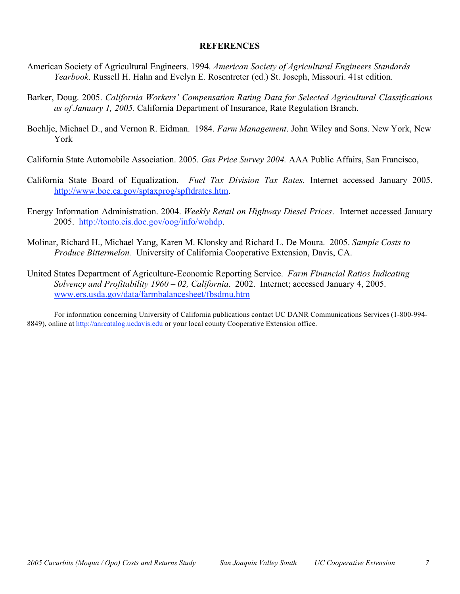# **REFERENCES**

- American Society of Agricultural Engineers. 1994. *American Society of Agricultural Engineers Standards Yearbook*. Russell H. Hahn and Evelyn E. Rosentreter (ed.) St. Joseph, Missouri. 41st edition.
- Barker, Doug. 2005. *California Workers' Compensation Rating Data for Selected Agricultural Classifications as of January 1, 2005.* California Department of Insurance, Rate Regulation Branch.
- Boehlje, Michael D., and Vernon R. Eidman. 1984. *Farm Management*. John Wiley and Sons. New York, New York
- California State Automobile Association. 2005. *Gas Price Survey 2004.* AAA Public Affairs, San Francisco,
- California State Board of Equalization. *Fuel Tax Division Tax Rates*. Internet accessed January 2005. http://www.boe.ca.gov/sptaxprog/spftdrates.htm.
- Energy Information Administration. 2004. *Weekly Retail on Highway Diesel Prices*. Internet accessed January 2005. http://tonto.eis.doe.gov/oog/info/wohdp.
- Molinar, Richard H., Michael Yang, Karen M. Klonsky and Richard L. De Moura. 2005. *Sample Costs to Produce Bittermelon.* University of California Cooperative Extension, Davis, CA.
- United States Department of Agriculture-Economic Reporting Service. *Farm Financial Ratios Indicating Solvency and Profitability 1960 – 02, California*. 2002. Internet; accessed January 4, 2005. www.ers.usda.gov/data/farmbalancesheet/fbsdmu.htm

For information concerning University of California publications contact UC DANR Communications Services (1-800-994- 8849), online at http://anrcatalog.ucdavis.edu or your local county Cooperative Extension office.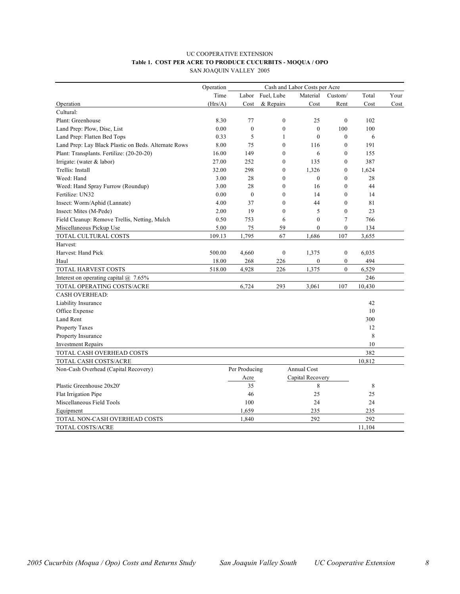#### UC COOPERATIVE EXTENSION **Table 1. COST PER ACRE TO PRODUCE CUCURBITS - MOQUA / OPO** SAN JOAQUIN VALLEY 2005

|                                                      | Operation<br>Cash and Labor Costs per Acre |                  |                  |                    |                  |        |      |
|------------------------------------------------------|--------------------------------------------|------------------|------------------|--------------------|------------------|--------|------|
|                                                      | Time                                       | Labor            | Fuel, Lube       | Material           | Custom/          | Total  | Your |
| Operation                                            | (Hrs/A)                                    | Cost             | & Repairs        | Cost               | Rent             | Cost   | Cost |
| Cultural:                                            |                                            |                  |                  |                    |                  |        |      |
| Plant: Greenhouse                                    | 8.30                                       | 77               | $\boldsymbol{0}$ | 25                 | $\mathbf{0}$     | 102    |      |
| Land Prep: Plow, Disc, List                          | 0.00                                       | $\mathbf{0}$     | $\mathbf{0}$     | $\mathbf{0}$       | 100              | 100    |      |
| Land Prep: Flatten Bed Tops                          | 0.33                                       | 5                | 1                | $\mathbf{0}$       | $\mathbf{0}$     | 6      |      |
| Land Prep: Lay Black Plastic on Beds. Alternate Rows | 8.00                                       | 75               | $\mathbf{0}$     | 116                | $\theta$         | 191    |      |
| Plant: Transplants. Fertilize: (20-20-20)            | 16.00                                      | 149              | $\mathbf{0}$     | 6                  | $\mathbf{0}$     | 155    |      |
| Irrigate: (water & labor)                            | 27.00                                      | 252              | $\theta$         | 135                | $\theta$         | 387    |      |
| Trellis: Install                                     | 32.00                                      | 298              | $\boldsymbol{0}$ | 1,326              | $\boldsymbol{0}$ | 1,624  |      |
| Weed: Hand                                           | 3.00                                       | 28               | $\overline{0}$   | $\mathbf{0}$       | $\mathbf{0}$     | 28     |      |
| Weed: Hand Spray Furrow (Roundup)                    | 3.00                                       | 28               | $\mathbf{0}$     | 16                 | $\mathbf{0}$     | 44     |      |
| Fertilize: UN32                                      | 0.00                                       | $\boldsymbol{0}$ | $\mathbf{0}$     | 14                 | $\mathbf{0}$     | 14     |      |
| Insect: Worm/Aphid (Lannate)                         | 4.00                                       | 37               | $\overline{0}$   | 44                 | $\mathbf{0}$     | 81     |      |
| Insect: Mites (M-Pede)                               | 2.00                                       | 19               | $\overline{0}$   | 5                  | $\mathbf{0}$     | 23     |      |
| Field Cleanup: Remove Trellis, Netting, Mulch        | 0.50                                       | 753              | 6                | $\mathbf{0}$       | $\overline{7}$   | 766    |      |
| Miscellaneous Pickup Use                             | 5.00                                       | 75               | 59               | $\mathbf{0}$       | $\boldsymbol{0}$ | 134    |      |
| TOTAL CULTURAL COSTS                                 | 109.13                                     | 1,795            | 67               | 1,686              | 107              | 3,655  |      |
| Harvest:                                             |                                            |                  |                  |                    |                  |        |      |
| Harvest: Hand Pick                                   | 500.00                                     | 4,660            | $\mathbf{0}$     | 1,375              | $\mathbf{0}$     | 6,035  |      |
| Haul                                                 | 18.00                                      | 268              | 226              | $\boldsymbol{0}$   | $\boldsymbol{0}$ | 494    |      |
| TOTAL HARVEST COSTS                                  | 518.00                                     | 4,928            | 226              | 1,375              | $\boldsymbol{0}$ | 6,529  |      |
| Interest on operating capital $@$ 7.65%              |                                            |                  |                  |                    |                  | 246    |      |
| TOTAL OPERATING COSTS/ACRE                           |                                            | 6,724            | 293              | 3,061              | 107              | 10,430 |      |
| <b>CASH OVERHEAD:</b>                                |                                            |                  |                  |                    |                  |        |      |
| Liability Insurance                                  |                                            |                  |                  |                    |                  | 42     |      |
| Office Expense                                       |                                            |                  |                  |                    |                  | 10     |      |
| Land Rent                                            |                                            |                  |                  |                    |                  | 300    |      |
| <b>Property Taxes</b>                                |                                            |                  |                  |                    |                  | 12     |      |
| Property Insurance                                   |                                            |                  |                  |                    |                  | 8      |      |
| <b>Investment Repairs</b>                            |                                            |                  |                  |                    |                  | 10     |      |
| TOTAL CASH OVERHEAD COSTS                            |                                            |                  |                  |                    |                  | 382    |      |
| TOTAL CASH COSTS/ACRE                                |                                            |                  |                  |                    |                  | 10,812 |      |
| Non-Cash Overhead (Capital Recovery)                 |                                            | Per Producing    |                  | <b>Annual Cost</b> |                  |        |      |
|                                                      |                                            | Acre             |                  | Capital Recovery   |                  |        |      |
| Plastic Greenhouse 20x20'                            |                                            | 35               |                  | 8                  |                  | 8      |      |
| Flat Irrigation Pipe                                 |                                            | 46               |                  | 25                 |                  | 25     |      |
| Miscellaneous Field Tools                            |                                            | 100              |                  | 24                 |                  | 24     |      |
| Equipment                                            |                                            | 1,659            |                  | 235                |                  | 235    |      |
| TOTAL NON-CASH OVERHEAD COSTS                        |                                            | 1,840            |                  | 292                |                  | 292    |      |
| <b>TOTAL COSTS/ACRE</b>                              |                                            |                  |                  |                    |                  | 11.104 |      |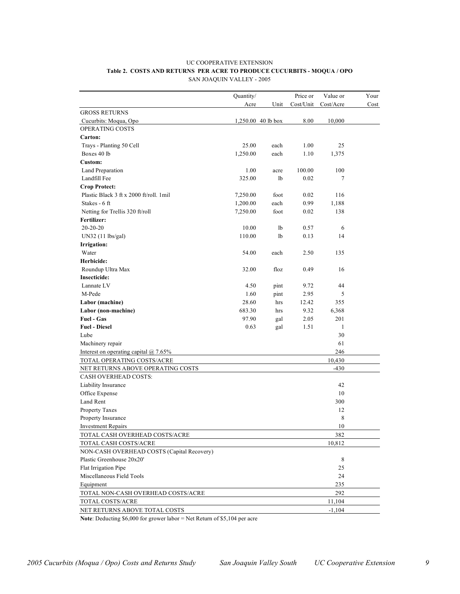#### UC COOPERATIVE EXTENSION **Table 2. COSTS AND RETURNS PER ACRE TO PRODUCE CUCURBITS - MOQUA / OPO** SAN JOAQUIN VALLEY - 2005

|                                            | Quantity/ |                      | Price or  | Value or  | Your |
|--------------------------------------------|-----------|----------------------|-----------|-----------|------|
|                                            | Acre      | Unit                 | Cost/Unit | Cost/Acre | Cost |
| <b>GROSS RETURNS</b>                       |           |                      |           |           |      |
| Cucurbits: Moqua, Opo                      |           | $1,250.00$ 40 lb box | 8.00      | 10,000    |      |
| OPERATING COSTS                            |           |                      |           |           |      |
| Carton:                                    |           |                      |           |           |      |
| Trays - Planting 50 Cell                   | 25.00     | each                 | 1.00      | 25        |      |
| Boxes 40 lb                                | 1,250.00  | each                 | 1.10      | 1,375     |      |
| <b>Custom:</b>                             |           |                      |           |           |      |
| Land Preparation                           | 1.00      | acre                 | 100.00    | 100       |      |
| Landfill Fee                               | 325.00    | lb                   | 0.02      | 7         |      |
| <b>Crop Protect:</b>                       |           |                      |           |           |      |
| Plastic Black 3 ft x 2000 ft/roll. 1 mil   | 7,250.00  | foot                 | 0.02      | 116       |      |
| Stakes - 6 ft                              | 1,200.00  | each                 | 0.99      | 1,188     |      |
| Netting for Trellis 320 ft/roll            | 7,250.00  | foot                 | 0.02      | 138       |      |
| Fertilizer:                                |           |                      |           |           |      |
| $20-20-20$                                 | 10.00     | lb                   | 0.57      | 6         |      |
| UN32 (11 lbs/gal)                          | 110.00    | lb                   | 0.13      | 14        |      |
| <b>Irrigation:</b>                         |           |                      |           |           |      |
| Water                                      | 54.00     | each                 | 2.50      | 135       |      |
| Herbicide:                                 |           |                      |           |           |      |
| Roundup Ultra Max                          | 32.00     | floz                 | 0.49      | 16        |      |
| <b>Insecticide:</b>                        |           |                      |           |           |      |
| Lannate LV                                 | 4.50      | pint                 | 9.72      | 44        |      |
| M-Pede                                     | 1.60      |                      | 2.95      | 5         |      |
| Labor (machine)                            | 28.60     | pint<br>hrs          | 12.42     | 355       |      |
| Labor (non-machine)                        | 683.30    | hrs                  | 9.32      | 6,368     |      |
| <b>Fuel - Gas</b>                          | 97.90     | gal                  | 2.05      | 201       |      |
| <b>Fuel - Diesel</b>                       | 0.63      |                      | 1.51      | 1         |      |
| Lube                                       |           | gal                  |           | 30        |      |
|                                            |           |                      |           | 61        |      |
| Machinery repair                           |           |                      |           | 246       |      |
| Interest on operating capital @ 7.65%      |           |                      |           |           |      |
| TOTAL OPERATING COSTS/ACRE                 |           |                      |           | 10,430    |      |
| NET RETURNS ABOVE OPERATING COSTS          |           |                      |           | $-430$    |      |
| CASH OVERHEAD COSTS:                       |           |                      |           |           |      |
| Liability Insurance                        |           |                      |           | 42        |      |
| Office Expense                             |           |                      |           | 10        |      |
| Land Rent                                  |           |                      |           | 300       |      |
| Property Taxes                             |           |                      |           | 12        |      |
| Property Insurance                         |           |                      |           | 8         |      |
| <b>Investment Repairs</b>                  |           |                      |           | $10$      |      |
| TOTAL CASH OVERHEAD COSTS/ACRE             |           |                      |           | 382       |      |
| TOTAL CASH COSTS/ACRE                      |           |                      |           | 10,812    |      |
| NON-CASH OVERHEAD COSTS (Capital Recovery) |           |                      |           |           |      |
| Plastic Greenhouse 20x20'                  |           |                      |           | 8         |      |
| Flat Irrigation Pipe                       |           |                      |           | 25        |      |
| Miscellaneous Field Tools                  |           |                      |           | 24        |      |
| Equipment                                  |           |                      |           | 235       |      |
| TOTAL NON-CASH OVERHEAD COSTS/ACRE         |           |                      |           | 292       |      |
| TOTAL COSTS/ACRE                           |           |                      |           | 11,104    |      |
| NET RETURNS ABOVE TOTAL COSTS              |           |                      |           | $-1,104$  |      |

**Note**: Deducting \$6,000 for grower labor = Net Return of \$5,104 per acre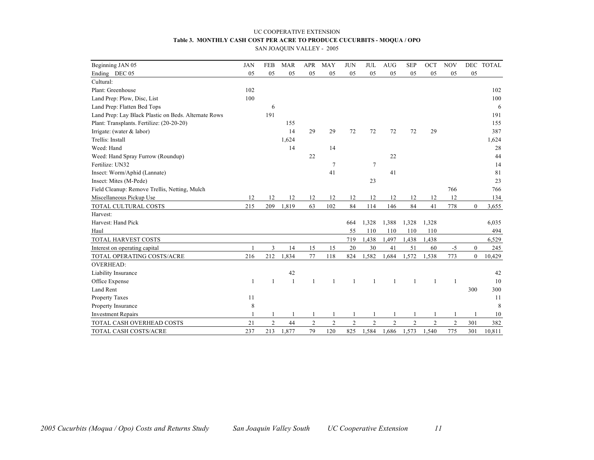# UC COOPERATIVE EXTENSION **Table 3. MONTHLY CASH COST PER ACRE TO PRODUCE CUCURBITS - MOQUA / OPO**

SAN JOAQUIN VALLEY - 2005

| Beginning JAN 05                                     | <b>JAN</b> | <b>FEB</b>     | <b>MAR</b> | <b>APR</b>     | <b>MAY</b>     | <b>JUN</b>     | <b>JUL</b>      | <b>AUG</b>     | <b>SEP</b>     | OCT            | <b>NOV</b>     |              | DEC TOTAL |
|------------------------------------------------------|------------|----------------|------------|----------------|----------------|----------------|-----------------|----------------|----------------|----------------|----------------|--------------|-----------|
| Ending DEC 05                                        | 05         | 05             | 05         | 05             | 05             | 05             | 05              | 05             | 05             | 05             | 05             | 05           |           |
| Cultural:                                            |            |                |            |                |                |                |                 |                |                |                |                |              |           |
| Plant: Greenhouse                                    | 102        |                |            |                |                |                |                 |                |                |                |                |              | 102       |
| Land Prep: Plow, Disc, List                          | 100        |                |            |                |                |                |                 |                |                |                |                |              | 100       |
| Land Prep: Flatten Bed Tops                          |            | 6              |            |                |                |                |                 |                |                |                |                |              | 6         |
| Land Prep: Lay Black Plastic on Beds. Alternate Rows |            | 191            |            |                |                |                |                 |                |                |                |                |              | 191       |
| Plant: Transplants. Fertilize: (20-20-20)            |            |                | 155        |                |                |                |                 |                |                |                |                |              | 155       |
| Irrigate: (water $&$ labor)                          |            |                | 14         | 29             | 29             | 72             | 72              | 72             | 72             | 29             |                |              | 387       |
| Trellis: Install                                     |            |                | 1,624      |                |                |                |                 |                |                |                |                |              | 1,624     |
| Weed: Hand                                           |            |                | 14         |                | 14             |                |                 |                |                |                |                |              | 28        |
| Weed: Hand Spray Furrow (Roundup)                    |            |                |            | 22             |                |                |                 | 22             |                |                |                |              | 44        |
| Fertilize: UN32                                      |            |                |            |                | 7              |                | $7\phantom{.0}$ |                |                |                |                |              | 14        |
| Insect: Worm/Aphid (Lannate)                         |            |                |            |                | 41             |                |                 | 41             |                |                |                |              | 81        |
| Insect: Mites (M-Pede)                               |            |                |            |                |                |                | 23              |                |                |                |                |              | 23        |
| Field Cleanup: Remove Trellis, Netting, Mulch        |            |                |            |                |                |                |                 |                |                |                | 766            |              | 766       |
| Miscellaneous Pickup Use                             | 12         | 12             | 12         | 12             | 12             | 12             | 12              | 12             | 12             | 12             | 12             |              | 134       |
| TOTAL CULTURAL COSTS                                 | 215        | 209            | 1,819      | 63             | 102            | 84             | 114             | 146            | 84             | 41             | 778            | $\mathbf{0}$ | 3,655     |
| Harvest:                                             |            |                |            |                |                |                |                 |                |                |                |                |              |           |
| Harvest: Hand Pick                                   |            |                |            |                |                | 664            | 1,328           | 1,388          | 1,328          | 1,328          |                |              | 6,035     |
| Haul                                                 |            |                |            |                |                | 55             | 110             | 110            | 110            | 110            |                |              | 494       |
| TOTAL HARVEST COSTS                                  |            |                |            |                |                | 719            | 1,438           | 1,497          | 1,438          | 1,438          |                |              | 6,529     |
| Interest on operating capital                        |            | 3              | 14         | 15             | 15             | 20             | 30              | 41             | 51             | 60             | $-5$           | $\mathbf{0}$ | 245       |
| TOTAL OPERATING COSTS/ACRE                           | 216        | 212            | 1,834      | 77             | 118            | 824            | 1,582           | 1,684          | 1,572          | 1,538          | 773            | $\mathbf{0}$ | 10,429    |
| <b>OVERHEAD:</b>                                     |            |                |            |                |                |                |                 |                |                |                |                |              |           |
| Liability Insurance                                  |            |                | 42         |                |                |                |                 |                |                |                |                |              | 42        |
| Office Expense                                       |            | 1              | -1         | 1              |                | 1              | 1               |                | 1              | 1              | $\mathbf{1}$   |              | 10        |
| Land Rent                                            |            |                |            |                |                |                |                 |                |                |                |                | 300          | 300       |
| Property Taxes                                       | 11         |                |            |                |                |                |                 |                |                |                |                |              | 11        |
| Property Insurance                                   | 8          |                |            |                |                |                |                 |                |                |                |                |              | 8         |
| <b>Investment Repairs</b>                            |            |                |            |                |                |                |                 |                |                |                |                |              | 10        |
| TOTAL CASH OVERHEAD COSTS                            | 21         | $\overline{c}$ | 44         | $\overline{c}$ | $\overline{c}$ | $\overline{c}$ | $\overline{2}$  | $\overline{c}$ | $\overline{2}$ | $\overline{2}$ | $\overline{c}$ | 301          | 382       |
| TOTAL CASH COSTS/ACRE                                | 237        | 213            | 1,877      | 79             | 120            | 825            | 1,584           | 1,686          | 1,573          | 1,540          | 775            | 301          | 10,811    |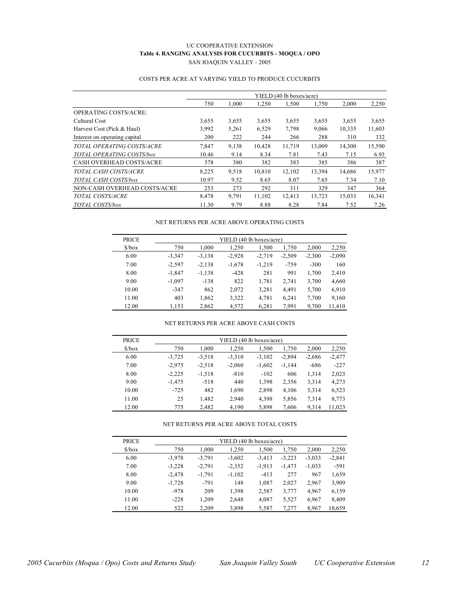#### UC COOPERATIVE EXTENSION **Table 4. RANGING ANALYSIS FOR CUCURBITS - MOQUA / OPO** SAN JOAQUIN VALLEY - 2005

|                                 |       |       |        | YIELD (40 lb boxes/acre) |        |        |        |
|---------------------------------|-------|-------|--------|--------------------------|--------|--------|--------|
|                                 | 750   | 1,000 | 1,250  | 1,500                    | 1,750  | 2,000  | 2,250  |
| <b>OPERATING COSTS/ACRE:</b>    |       |       |        |                          |        |        |        |
| Cultural Cost                   | 3,655 | 3,655 | 3,655  | 3,655                    | 3,655  | 3,655  | 3,655  |
| Harvest Cost (Pick & Haul)      | 3,992 | 5,261 | 6,529  | 7,798                    | 9,066  | 10,335 | 11,603 |
| Interest on operating capital   | 200   | 222   | 244    | 266                      | 288    | 310    | 332    |
| TOTAL OPERATING COSTS/ACRE      | 7,847 | 9,138 | 10,428 | 11,719                   | 13,009 | 14,300 | 15,590 |
| TOTAL OPERATING COSTS/box       | 10.46 | 9.14  | 8.34   | 7.81                     | 7.43   | 7.15   | 6.93   |
| <b>CASH OVERHEAD COSTS/ACRE</b> | 378   | 380   | 382    | 383                      | 385    | 386    | 387    |
| TOTAL CASH COSTS/ACRE           | 8,225 | 9,518 | 10,810 | 12,102                   | 13,394 | 14,686 | 15,977 |
| TOTAL CASH COSTS/box            | 10.97 | 9.52  | 8.65   | 8.07                     | 7.65   | 7.34   | 7.10   |
| NON-CASH OVERHEAD COSTS/ACRE    | 253   | 273   | 292    | 311                      | 329    | 347    | 364    |
| TOTAL COSTS/ACRE                | 8,478 | 9,791 | 11,102 | 12,413                   | 13,723 | 15,033 | 16,341 |
| TOTAL COSTS/box                 | 11.30 | 9.79  | 8.88   | 8.28                     | 7.84   | 7.52   | 7.26   |

### COSTS PER ACRE AT VARYING YIELD TO PRODUCE CUCURBITS

#### NET RETURNS PER ACRE ABOVE OPERATING COSTS

| <b>PRICE</b>                 |          |          | YIELD (40 lb boxes/acre) |          |          |          |          |
|------------------------------|----------|----------|--------------------------|----------|----------|----------|----------|
| $\frac{\delta}{\cos \theta}$ | 750      | 1,000    | 1.250                    | 1,500    | 1,750    | 2,000    | 2,250    |
| 6.00                         | $-3.347$ | $-3,138$ | $-2,928$                 | $-2,719$ | $-2,509$ | $-2.300$ | $-2,090$ |
| 7.00                         | $-2.597$ | $-2,138$ | $-1,678$                 | $-1,219$ | $-759$   | $-300$   | 160      |
| 8.00                         | $-1,847$ | $-1,138$ | $-428$                   | 281      | 991      | 1,700    | 2,410    |
| 9.00                         | $-1.097$ | $-138$   | 822                      | 1,781    | 2,741    | 3,700    | 4,660    |
| 10.00                        | $-347$   | 862      | 2,072                    | 3,281    | 4.491    | 5,700    | 6,910    |
| 11.00                        | 403      | 1,862    | 3,322                    | 4,781    | 6,241    | 7,700    | 9,160    |
| 12.00                        | 1,153    | 2,862    | 4,572                    | 6,281    | 7.991    | 9,700    | 11,410   |

#### NET RETURNS PER ACRE ABOVE CASH COSTS

| <b>PRICE</b>                  |          |          | YIELD (40 lb boxes/acre) |          |          |          |          |
|-------------------------------|----------|----------|--------------------------|----------|----------|----------|----------|
| $\frac{\text{S}}{\text{Dox}}$ | 750      | 1,000    | 1.250                    | 1,500    | 1,750    | 2,000    | 2,250    |
| 6.00                          | $-3,725$ | $-3.518$ | $-3.310$                 | $-3,102$ | $-2,894$ | $-2,686$ | $-2,477$ |
| 7.00                          | $-2,975$ | $-2,518$ | $-2,060$                 | $-1,602$ | $-1,144$ | $-686$   | $-227$   |
| 8.00                          | $-2,225$ | $-1,518$ | $-810$                   | $-102$   | 606      | 1,314    | 2,023    |
| 9.00                          | $-1,475$ | $-518$   | 440                      | 1,398    | 2,356    | 3,314    | 4,273    |
| 10.00                         | $-725$   | 482      | 1,690                    | 2,898    | 4,106    | 5,314    | 6,523    |
| 11.00                         | 25       | 1,482    | 2,940                    | 4,398    | 5,856    | 7,314    | 8,773    |
| 12.00                         | 775      | 2,482    | 4,190                    | 5,898    | 7,606    | 9,314    | 11,023   |

#### NET RETURNS PER ACRE ABOVE TOTAL COSTS

| <b>PRICE</b>                  |          |          | YIELD (40 lb boxes/acre) |          |          |          |          |
|-------------------------------|----------|----------|--------------------------|----------|----------|----------|----------|
| $\frac{\text{S}}{\text{box}}$ | 750      | 1,000    | 1,250                    | 1,500    | 1,750    | 2,000    | 2,250    |
| 6.00                          | $-3,978$ | $-3.791$ | $-3,602$                 | $-3,413$ | $-3,223$ | $-3,033$ | $-2,841$ |
| 7.00                          | $-3,228$ | $-2.791$ | $-2,352$                 | $-1,913$ | $-1,473$ | $-1,033$ | $-591$   |
| 8.00                          | $-2,478$ | $-1.791$ | $-1,102$                 | $-413$   | 277      | 967      | 1,659    |
| 9.00                          | $-1,728$ | $-791$   | 148                      | 1,087    | 2,027    | 2,967    | 3,909    |
| 10.00                         | $-978$   | 209      | 1,398                    | 2,587    | 3,777    | 4,967    | 6,159    |
| 11.00                         | $-228$   | 1,209    | 2,648                    | 4,087    | 5,527    | 6,967    | 8,409    |
| 12.00                         | 522      | 2,209    | 3,898                    | 5,587    | 7,277    | 8,967    | 10,659   |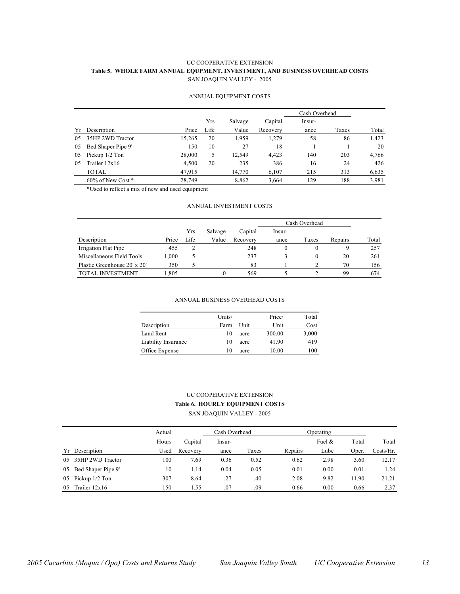#### UC COOPERATIVE EXTENSION **Table 5. WHOLE FARM ANNUAL EQUPMENT, INVESTMENT, AND BUSINESS OVERHEAD COSTS** SAN JOAQUIN VALLEY - 2005

#### ANNUAL EQUIPMENT COSTS

|     |                        |        |      |         |          | Cash Overhead |       |       |
|-----|------------------------|--------|------|---------|----------|---------------|-------|-------|
|     |                        |        | Yrs  | Salvage | Capital  | Insur-        |       |       |
| Yr  | Description            | Price  | Life | Value   | Recovery | ance          | Taxes | Total |
| 0.5 | 35HP 2WD Tractor       | 15,265 | 20   | 1.959   | 1,279    | 58            | 86    | 1,423 |
| 05  | Bed Shaper Pipe 9'     | 150    | 10   | 27      | 18       |               |       | 20    |
| 05  | Pickup 1/2 Ton         | 28,000 | 5    | 12,549  | 4,423    | 140           | 203   | 4,766 |
| 05  | Trailer $12x16$        | 4,500  | 20   | 235     | 386      | 16            | 24    | 426   |
|     | TOTAL                  | 47,915 |      | 14,770  | 6.107    | 215           | 313   | 6,635 |
|     | $60\%$ of New Cost $*$ | 28.749 |      | 8,862   | 3,664    | 129           | 188   | 3,981 |

\*Used to reflect a mix of new and used equipment

#### ANNUAL INVESTMENT COSTS

|                              |       |      |         |          | Cash Overhead |          |         |       |
|------------------------------|-------|------|---------|----------|---------------|----------|---------|-------|
|                              |       | Yrs  | Salvage | Capital  | lnsur-        |          |         |       |
| Description                  | Price | Life | Value   | Recovery | ance          | Taxes    | Repairs | Total |
| Irrigation Flat Pipe         | 455   |      |         | 248      |               | $\theta$ | 9       | 257   |
| Miscellaneous Field Tools    | 1,000 | ر    |         | 237      |               | $^{0}$   | 20      | 261   |
| Plastic Greenhouse 20' x 20' | 350   |      |         | 83       |               |          | 70      | 156   |
| <b>TOTAL INVESTMENT</b>      | .805  |      | 0       | 569      |               |          | 99      | 674   |

#### ANNUAL BUSINESS OVERHEAD COSTS

|                     | Units/ |      | Price/ | Total |
|---------------------|--------|------|--------|-------|
| Description         | Farm   | Unit | Unit   | Cost  |
| Land Rent           | 10     | acre | 300.00 | 3,000 |
| Liability Insurance | 10     | acre | 41.90  | 419   |
| Office Expense      | 10     | acre | 10.00  | 100   |

#### UC COOPERATIVE EXTENSION **Table 6. HOURLY EQUIPMENT COSTS**

SAN JOAQUIN VALLEY - 2005

|     |                    | Actual |          | Cash Overhead |       | Operating |           |       |           |
|-----|--------------------|--------|----------|---------------|-------|-----------|-----------|-------|-----------|
|     |                    | Hours  | Capital  | Insur-        |       |           | Fuel $\&$ | Total | Total     |
|     | Yr Description     | Used   | Recovery | ance          | Taxes | Repairs   | Lube      | Oper. | Costs/Hr. |
| 0.5 | 35HP 2WD Tractor   | 100    | 7.69     | 0.36          | 0.52  | 0.62      | 2.98      | 3.60  | 12.17     |
| 05  | Bed Shaper Pipe 9' | 10     | 1.14     | 0.04          | 0.05  | 0.01      | 0.00      | 0.01  | 1.24      |
| 05  | Pickup 1/2 Ton     | 307    | 8.64     | .27           | .40   | 2.08      | 9.82      | 11.90 | 21.21     |
| 05  | Trailer $12x16$    | 150    | 1.55     | .07           | .09   | 0.66      | 0.00      | 0.66  | 2.37      |